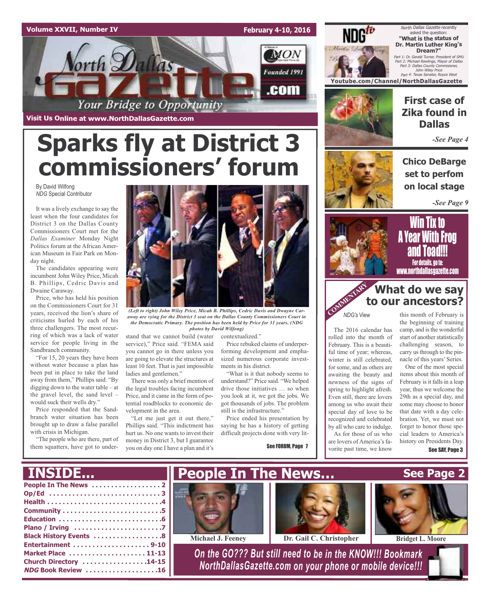### **Volume XXVII, Number IV**

**February 4-10, 2016**



**Visit Us Online at www.NorthDallasGazette.com**

# **Sparks fly at District 3 commissioners' forum**

By David Wilfong *NDG* Special Contributor

It was a lively exchange to say the least when the four candidates for District 3 on the Dallas County Commissioners Court met for the *Dallas Examiner* Monday Night Politics forum at the African American Museum in Fair Park on Monday night.

The candidates appearing were incumbent John Wiley Price, Micah B. Phillips, Cedric Davis and Dwaine Caraway.

Price, who has held his position on the Commissioners Court for 31 years, received the lion's share of criticisms hurled by each of his three challengers. The most recurring of which was a lack of water service for people living in the Sandbranch community.

"For 15, 20 years they have been without water because a plan has been put in place to take the land away from them," Phillips said. "By digging down to the water table – at the gravel level, the sand level – would suck their wells dry."

Price responded that the Sandbranch water situation has been brought up to draw a false parallel with crisis in Michigan.

"The people who are there, part of them squatters, have got to under-



*(Left to right) John Wiley Price, Micah B. Phillips, Cedric Davis and Dwayne Caraway are vying for the District 3 seat on the Dallas County Commissioners Court in the Democratic Primary. The position has been held by Price for 31 years. (NDG photos by David Wilfong)*

stand that we cannot build (water contextualized." service)," Price said. "FEMA said you cannot go in there unless you are going to elevate the structures at least 10 feet. That is just impossible ladies and gentlemen."

There was only a brief mention of the legal troubles facing incumbent Price, and it came in the form of potential roadblocks to economic development in the area.

"Let me just get it out there," Phillips said. "This indictment has hurt us. No one wants to invest their money in District 3, but I guarantee you on day one I have a plan and it's





anu Toanii**:** For details, go to: www.northdallasgazette.com



The 2016 calendar has rolled into the month of February. This is a beautiful time of year; whereas, winter is still celebrated, for some, and as others are awaiting the beauty and newness of the signs of spring to highlight afresh. Even still, there are lovers among us who await their special day of love to be recognized and celebrated by all who care to indulge.

As for those of us who are lovers of America's favorite past time, we know

this month of February is the beginning of training camp, and is the wonderful start of another statistically challenging season, to carry us through to the pinnacle of this years' Series.

One of the most special items about this month of February is it falls in a leap year, thus we welcome the 29th as a special day, and some may choose to honor that date with a day celebration. Yet, we must not forget to honor those special leaders to America's history on Presidents Day.

See SAY, Page 3



Price rebuked claims of underperforming development and emphasized numerous corporate invest-

"What is it that nobody seems to understand?" Price said. "We helped drive those initiatives … so when you look at it, we got the jobs. We got thousands of jobs. The problem

Price ended his presentation by saying he has a history of getting difficult projects done with very lit-

See FORUM, Page 7

ments in his district.

still is the infrastructure."

### **First case of Zika found in Dallas**

**Youtube.com/Channel/NorthDallasGazette**

North Dallas Gazette recently asked the question: **"What is the status of Dr. Martin Luther King's Dream?"**

Part 1: Dr. Gerald Turner, President of SMU Part 2: Michael Rawlings, Mayor of Dallas Part 3: Dallas County Commisioner, John Wiley Price Part 4: Texas Senator, Royce West

*-See Page 4*

**Chico DeBarge set to perfom on local stage**

*-See Page 9*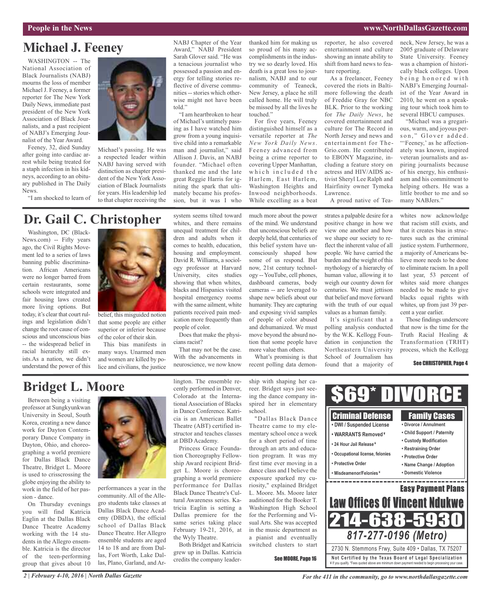### **People in the News www.NorthDallasGazette.com**

### **Michael J. Feeney**

WASHINGTON -- The National Association of Black Journalists (NABJ) mourns the loss of member Michael J. Feeney, a former reporter for The New York Daily News, immediate past president of the New York Association of Black Journalists, and a past recipient of NABJ's Emerging Journalist of the Year Award.

Feeney, 32, died Sunday after going into cardiac arrest while being treated for a staph infection in his kidneys, according to an obituary published in The Daily News.

"I am shocked to learn of

Washington, DC (Black-News.com) -- Fifty years ago, the Civil Rights Movement led to a series of laws banning public discrimination. African Americans were no longer barred from certain restaurants, some schools were integrated and fair housing laws created more living options. But today, it's clear that court rulings and legislation didn't change the root cause of conscious and unconscious bias -- the widespread belief in racial hierarchy still exists.As a nation, we didn't understand the power of this

**Dr. Gail C. Christopher**



Michael's passing. He was a respected leader within NABJ having served with distinction as chapter president of the New York Association of Black Journalists for years. His leadership led to that chapter receiving the

### NABJ Chapter of the Year Award," NABJ President Sarah Glover said. "He was a tenacious journalist who possessed a passion and energy for telling stories reflective of diverse communities -- stories which otherwise might not have been told."

"I am heartbroken to hear of Michael's untimely passing as I have watched him grow from a young inquisitive child into a remarkable man and journalist," said Allison J. Davis, an NABJ founder. "Michael often thanked me and the late great Reggie Harris for igniting the spark that ultimately became his profession, but it was I who

system seems tilted toward whites, and there remains unequal treatment for children and adults when it comes to health, education, housing and employment. David R. Williams, a sociology professor at Harvard University, cites studies showing that when whites, blacks and Hispanics visited hospital emergency rooms with the same ailment, white patients received pain medication more frequently than

thanked him for making us so proud of his many accomplishments in the industry we so dearly loved. His death is a great loss to journalism, NABJ and to our community of Teaneck, New Jersey, a place he still called home. He will truly be missed by all the lives he touched."

For five years, Feeney distinguished himself as a versatile reporter at *The New York Daily News*. Feeney advanced from being a crime reporter to covering Upper Manhattan, which included the Harlem, East Harlem, Washington Heights and Inwood neighborhoods. While excelling as a beat

much more about the power of the mind. We understand that unconscious beliefs are deeply held, that centuries of this belief system have unconsciously shaped how some of us respond. But now, 21st century technology -- YouTube, cell phones, dashboard cameras, body cameras -- are leveraged to shape new beliefs about our humanity. They are capturing and exposing vivid samples of people of color abused and dehumanized. We must move beyond the absurd notion that some people have more value than others.

What's promising is that recent polling data demonreporter, he also covered entertainment and culture showing an innate ability to shift from hard news to feature reporting.

As a freelancer, Feeney covered the riots in Baltimore following the death of Freddie Gray for NBC BLK. Prior to the working for *The Daily News*, he covered entertainment and culture for The Record in North Jersey and news and entertainment for The-Grio.com. He contributed to EBONY Magazine, including a feature story on actress and HIV/AIDS activist Sheryl Lee Ralph and Hairfinity owner Tymeka Lawrence.

A proud native of Tea-

strates a palpable desire for a positive change in how we view one another and how we shape our society to reflect the inherent value of all people. We have carried the burden and the weight of this mythology of a hierarchy of human value, allowing it to weigh our country down for centuries. We must jettison that belief and move forward with the truth of our equal values as a human family.

It's significant that a polling analysis conducted by the W.K. Kellogg Foundation in conjunction the Northeastern University School of Journalism has found that a majority of

neck, New Jersey, he was a 2005 graduate of Delaware State University. Feeney was a champion of historically black colleges. Upon being honored with NABJ's Emerging Journalist of the Year Award in 2010, he went on a speaking tour which took him to several HBCU campuses.

"Michael was a gregarious, warm, and joyous person," Glover added. "'Feeney,' as he affectionately was known, inspired veteran journalists and aspiring journalists because of his energy, his enthusiasm and his commitment to helping others. He was a little brother to me and so many NABJers."

whites now acknowledge that racism still exists, and that it creates bias in structures such as the criminal justice system. Furthermore, a majority of Americans believe more needs to be done to eliminate racism. In a poll last year, 53 percent of whites said more changes needed to be made to give blacks equal rights with whites, up from just 39 percent a year earlier.

Those findings underscore that now is the time for the Truth Racial Healing & Transformation (TRHT) process, which the Kellogg

#### See CHRISTOPHER, Page 4

**Bridget L. Moore**

Between being a visiting professor at Sungkyunkwan University in Seoul, South Korea, creating a new dance work for Dayton Contemporary Dance Company in Dayton, Ohio, and choreographing a world premiere for Dallas Black Dance Theatre, Bridget L. Moore is used to crisscrossing the globe enjoying the ability to work in the field of her passion - dance.

On Thursday evenings you will find Katricia Eaglin at the Dallas Black Dance Theatre Academy working with the 14 students in the Allegro ensemble. Katricia is the director of the teen-performing group that gives about 10



belief, this misguided notion that some people are either superior or inferior because of the color of their skin. This bias manifests in many ways. Unarmed men and women are killed by police and civilians, the justice

performances a year in the community. All of the Allegro students take classes at Dallas Black Dance Academy (DBDA), the official school of Dallas Black Dance Theatre. Her Allegro ensemble students are aged 14 to 18 and are from Dallas, Fort Worth, Lake Dallas, Plano, Garland, and Arlington. The ensemble recently performed in Denver, Colorado at the International Association of Blacks in Dance Conference. Katricia is an American Ballet Theatre (ABT) certified instructor and teaches classes at DBD Academy.

Does that make the physi-

That may not be the case. With the advancements in neuroscience, we now know

people of color.

cians racist?

Princess Grace Foundation Choreography Fellowship Award recipient Bridget L. Moore is choreographing a world premiere performance for Dallas Black Dance Theatre's Cultural Awareness series. Katricia Eaglin is setting a Dallas premiere for the same series taking place February 19-21, 2016, at the Wyly Theatre.

Both Bridget and Katricia grew up in Dallas. Katricia credits the company leader-

ship with shaping her career. Bridget says just seeing the dance company inspired her in elementary school.

"Dallas Black Dance Theatre came to my elementary school once a week for a short period of time through an arts and education program. It was my first time ever moving in a dance class and I believe the exposure sparked my curiosity," explained Bridget L. Moore. Ms. Moore later auditioned for the Booker T. Washington High School for the Performing and Visual Arts. She was accepted in the music department as a pianist and eventually switched clusters to start

See MOORE, Page 16



*2 | February 4-10, 2016 | North Dallas Gazette*

*For the 411 in the community, go to www.northdallasgazette.com*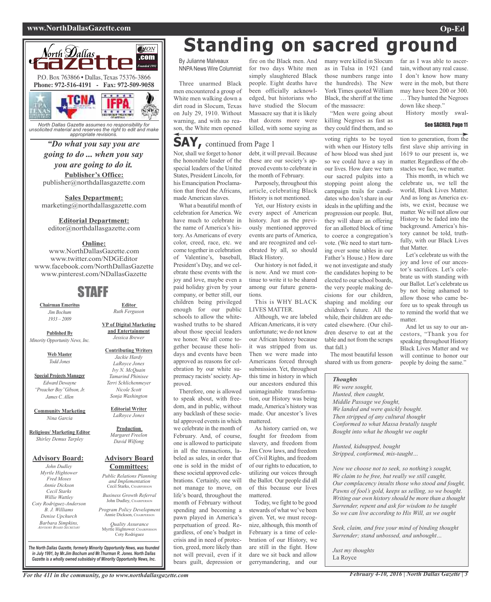### **www.NorthDallasGazette.com Op-Ed**



*North Dallas Gazette assumes no responsibility for unsolicited material and reserves the right to edit and make appropriate revisions.*

### *"Do what you say you are*

### *going to do ... when you say you are going to do it.*

**Publisher's Office:** publisher@northdallasgazette.com

**Sales Department:** marketing@northdallasgazette.com

**Editorial Department:**

editor@northdallasgazette.com

### **Online:**

www.NorthDallasGazette.com www.twitter.com/NDGEditor www.facebook.com/NorthDallasGazette www.pinterest.com/NDallasGazette

### STAFF

**Chairman Emeritus** *Jim Bochum 1933 – 2009*

**Published By** *Minority Opportunity News, Inc.*

> **Web Master** *Todd Jones*

**Special Projects Manager** *Edward Dewayne "Preacher Boy"Gibson, Jr. James C. Allen*

**Community Marketing** *Nina Garcia*

**Religious/ Marketing Editor** *Shirley Demus Tarpley*

#### **Advisory Board:**

*John Dudley Myrtle Hightower Fred Moses Annie Dickson Cecil Starks Willie Wattley Coty Rodriguez-Anderson B. J. Williams Denise Upchurch Barbara Simpkins, ADVISORY BOARD SECRETARY*

**VP of Digital Marketing and Entertainment** *Jessica Brewer*

**Editor** *Ruth Ferguson*

#### *Jackie Hardy LaRoyce Jones Ivy N. McQuain Tamarind Phinisee Terri Schlichenmeyer Nicole Scott Sonja Washington*

**Editorial Writer** *LaRoyce Jones*

**Production** *Margaret Freelon David Wilfong*

### **Advisory Board Committees:**

*Public Relations Planning and Implementation* Cecil Starks, CHAIRPERSON

*Business Growth Referral* John Dudley, CHAIRPERSO

*Program Policy Development* Annie Dickson, CHAIRPE

*Quality Assurance* Myrtle Hightower, CHAIRPERSO Coty Rodriguez

**Standing on sacred ground**

By Julianne Malveaux NNPANews Wire Columnist

Three unarmed Black men encountered a group of White men walking down a dirt road in Slocum, Texas on July 29, 1910. Without warning, and with no reason, the White men opened

**SAY,** continued from Page <sup>1</sup>

Nor, shall we forget to honor the honorable leader of the special leaders of the United States, President Lincoln, for his Emancipation Proclamation that freed the Africans, made American slaves.

What a beautiful month of celebration for America. We have much to celebrate in the name of America's history. As Americans of every color, creed, race, etc. we come together in celebration of Valentine's, baseball, President's Day, and we celebrate these events with the joy and love, maybe even a paid holiday given by your company, or better still, our children being privileged enough for our public schools to allow the whitewashed truths to be shared about those special leaders we honor. We all come together because these holidays and events have been approved as reasons for celebration by our white supremacy racists'society.Approved.

Therefore, one is allowed to speak about, with freedom, and in public, without any backlash of these societal approved events in which we celebrate in the month of February. And, of course, one is allowed to participate in all the transactions, labeled as sales, in order that one is sold in the midst of these societal approved celebrations. Certainly, one will not manage to move, on life's board, throughout the month of February without spending and becoming a pawn played in America's perpetuation of greed. Regardless, of one's budget in crisis and in need of protection, greed, more likely than not will prevail, even if it bears guilt, depression or

fire on the Black men. And for two days White men simply slaughtered Black people. Eight deaths have been officially acknowledged, but historians who have studied the Slocum Massacre say that it is likely that dozens more were killed, with some saying as

debt, it will prevail. Because these are our society's approved events to celebrate in the month of February.

Purposely, throughout this article, celebrating Black History is not mentioned.

Yet, our History exists in every aspect of American history. Just as the previously mentioned approved events are parts of America, and are recognized and celebrated by all, so should Black History.

Our history is not faded, it is now. And we must continue to write it to be shared among our future generations.

This is WHY BLACK LIVES MATTER.

Although, we are labeled AfricanAmericans, it is very unfortunate; we do not know our African history because it was stripped from us. Then we were made into Americans forced through submission. Yet, throughout this time in history in which our ancestors endured this unimaginable transformation, our History was being made,America's history was made. Our ancestor's lives mattered.

As history carried on, we fought for freedom from slavery, and freedom from Jim Crow laws, and freedom of Civil Rights, and freedom of our rights to education, to utilizing our voices through the Ballot. Our people did all of this because our lives mattered.

Today, we fight to be good stewards of what we've been given. Yet, we must recognize, although, this month of February is a time of celebration of our History, we are still in the fight. How dare we sit back and allow gerrymandering, and our

many were killed in Slocum as in Tulsa in 1921 (and those numbers range into the hundreds). The New York Times quoted William Black, the sheriff at the time of the massacre:

"Men were going about killing Negroes as fast as they could find them, and so

voting rights to be toyed with when our History tells of how blood was shed just so we could have a say in our lives. How dare we turn our sacred pulpits into a stopping point along the campaign trails for candidates who don't share in our ideals in the uplifting and the progression our people. But, they will share an offering for an allotted block of time to coerce a congregation's vote. (We need to start turning over some tables in our Father's House.) How dare we not investigate and study the candidates hoping to be elected to our school boards, the very people making decisions for our children, shaping and molding our children's future. All the while, their children are educated elsewhere. (Our children deserve to eat at the table and not from the scraps that fall.)

The most beautiful lesson shared with us from genera-

#### *Thoughts*

*We were sought, Hunted, then caught, Middle Passage we fought, We landed and were quickly bought. Then stripped of any cultural thought Conformed to what Massa brutally taught Bought into what he thought we ought*

*Hunted, kidnapped, bought Stripped, conformed, mis-taught…*

*Now we choose not to seek, so nothing's sought, We claim to be free, but really we still caught, Our complacency insults those who stood and fought, Pawns of fool's gold, keeps us selling, so we bought. Writing our own history should be more than a thought Surrender, repent and ask for wisdom to be taught So we can live according to His Will, as we ought*

*Seek, claim, and free your mind of binding thought Surrender; stand unbossed, and unbought…*

*Just my thoughts* La Royce

far as I was able to ascertain, without any real cause. I don't know how many were in the mob, but there may have been 200 or 300. … They hunted the Negroes down like sheep."

History mostly swal-

#### See SACRED, Page 11

tion to generation, from the first slave ship arriving in 1619 to our present is, we matter. Regardless of the obstacles we face, we matter.

This month, in which we celebrate us, we tell the world, Black Lives Matter. And as long as America exists, we exist, because we matter. We will not allow our History to be faded into the background. America's history cannot be told, truthfully, with our Black Lives that Matter.

Let's celebrate us with the joy and love of our ancestor's sacrifices. Let's celebrate us with standing with our Ballot. Let's celebrate us by not being ashamed to allow those who came before us to speak through us to remind the world that we matter.

And let us say to our ancestors, "Thank you for speaking throughout History Black Lives Matter and we will continue to honor our people by doing the same."



*The North Dallas Gazette, formerly Minority Opportunity News, was founded in July 1991, by Mr.Jim Bochum and Mr.Thurman R. Jones. North Dallas Gazette is a wholly owned subsidairy of Minority Opportunity News, Inc.*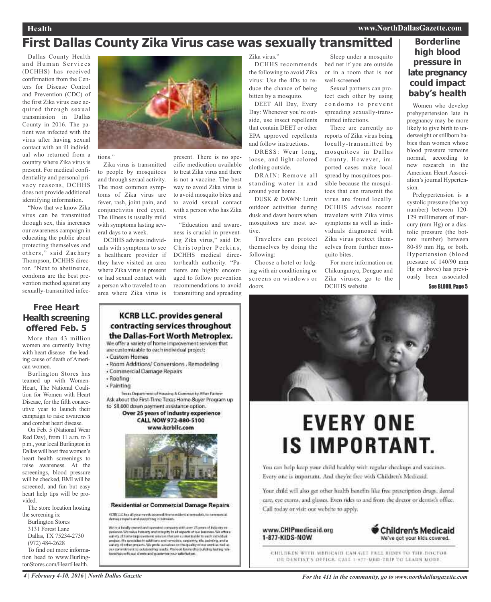### **Health www.NorthDallasGazette.com**

### **First Dallas County Zika Virus case was sexually transmitted**

Dallas County Health and Human Services (DCHHS) has received confirmation from the Centers for Disease Control and Prevention (CDC) of the first Zika virus case acquired through sexual transmission in Dallas County in 2016. The patient was infected with the virus after having sexual contact with an ill individual who returned from a country where Zika virus is present. For medical confidentiality and personal privacy reasons, DCHHS does not provide additional identifying information.

"Now that we know Zika virus can be transmitted through sex, this increases our awareness campaign in educating the public about protecting themselves and others," said Zachary Thompson, DCHHS director. "Next to abstinence, condoms are the best prevention method against any sexually-transmitted infec-

### **Free Heart Health screening offered Feb. 5**

More than 43 million women are currently living with heart disease– the leading cause of death of American women.

Burlington Stores has teamed up with Women-Heart, The National Coalition for Women with Heart Disease, for the fifth consecutive year to launch their campaign to raise awareness and combat heart disease.

On Feb. 5 (National Wear Red Day), from 11 a.m. to 3 p.m., your local Burlington in Dallas will host free women's heart health screenings to raise awareness. At the screenings, blood pressure will be checked, BMI will be screened, and fun but easy heart help tips will be provided.

The store location hosting the screening is: Burlington Stores 3131 Forest Lane Dallas, TX 75234-2730 (972) 484-2628 To find out more information head to www.BurlingtonStores.com/HeartHealth.



tions."

Zika virus is transmitted to people by mosquitoes and through sexual activity. The most common symptoms of Zika virus are fever, rash, joint pain, and conjunctivitis (red eyes). The illness is usually mild with symptoms lasting several days to a week.

DCHHS advises individuals with symptoms to see a healthcare provider if they have visited an area where Zika virus is present or had sexual contact with a person who traveled to an area where Zika virus is present. There is no specific medication available to treat Zika virus and there is not a vaccine. The best way to avoid Zika virus is to avoid mosquito bites and to avoid sexual contact with a person who has Zika virus.

"Education and awareness is crucial in preventing Zika virus," said Dr. Christopher Perkins, DCHHS medical director/health authority. "Patients are highly encouraged to follow prevention recommendations to avoid transmitting and spreading

Zika virus."

DCHHS recommends the following to avoid Zika virus: Use the 4Ds to reduce the chance of being bitten by a mosquito.

DEET All Day, Every Day: Whenever you're outside, use insect repellents that contain DEET or other EPA approved repellents and follow instructions.

DRESS: Wear long, loose, and light-colored clothing outside.

DRAIN: Remove all standing water in and around your home.

DUSK & DAWN: Limit outdoor activities during dusk and dawn hours when mosquitoes are most active.

Travelers can protect themselves by doing the following:

Choose a hotel or lodging with air conditioning or screens on windows or doors.

Sleep under a mosquito bed net if you are outside or in a room that is not well-screened

Sexual partners can protect each other by using condoms to prevent spreading sexually-transmitted infections.

There are currently no reports of Zika virus being locally-transmitted by mosquitoes in Dallas County. However, imported cases make local spread by mosquitoes possible because the mosquitoes that can transmit the virus are found locally. DCHHS advises recent travelers with Zika virus symptoms as well as individuals diagnosed with Zika virus protect themselves from further mosquito bites.

For more information on Chikungunya, Dengue and Zika viruses, go to the DCHHS website.

### **Borderline high blood pressure in late pregnancy could impact baby's health**

Women who develop prehypertension late in pregnancy may be more likely to give birth to underweight or stillborn babies than women whose blood pressure remains normal, according to new research in the American Heart Association's journal Hypertension.

Prehypertension is a systolic pressure (the top number) between 120- 129 millimeters of mercury (mm Hg) or a diastolic pressure (the bottom number) between 80-89 mm Hg, or both. Hypertension (blood pressure of 140/90 mm Hg or above) has previously been associated

See BLOOD, Page 5

**KCRB LLC. provides general** contracting services throughout the Dallas-Fort Worth Metroplex. We offer a variety of home improvement services that

are castomizable to each individual project:

- . Custom Homes
- Room Additions/ Conversions . Remodeling
- Commercial Damage Repairs
- $-$  Roofing

- Painting

Testa Department of Housing & Community After Pattner Ask about the First-Time Texas Home-Buyer Program up to \$8,000 down payment assistance option.

Over 25 years of industry experience CALL NOW 972-880-5100 www.kcrblic.com



### **Residential or Commercial Damage Repairs**

90706 a 2.0 To e all your revolution will them insident aimentable, to tempinerial densas repeln and everything in between

We be a locally ensured and squeeted company with over 25 years of lodscrip or persons. We what because and trigging in all aspects of our business. We often unitely of humi-implementers understands that are customizable



## **EVERY ONE IS IMPORTANT.**

You can help keep your child healthy with regular checkups and vaccines. Every one is important. And they're free with Children's Medicaid.

Your child will also get other health benefits like free prescription drugs, dental care, eye exams, and glasses. Even rides to and from the doctor or dentite's office: Call today or visit our website to apply.

www.CHIPmedicaid.org 1-877-KIDS-NOW



**CHILDREN WITH MEDICAIN CAN GET FREE RIDES TO THE DOCTOR** DR DENTIST'S OFFICE, CALL 1:477-MED-TRIP TO LEARN MORE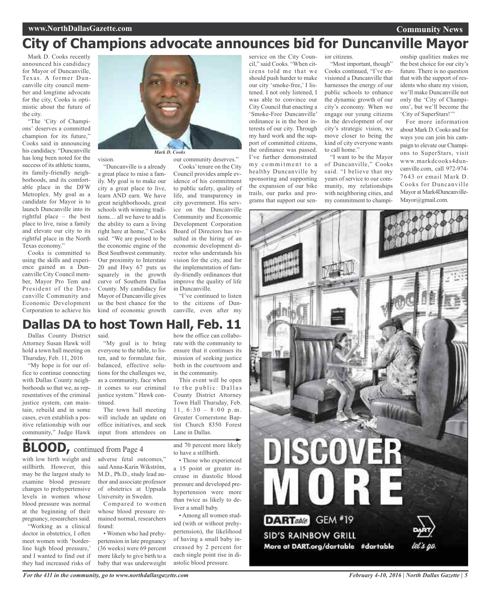### **City of Champions advocate announces bid for Duncanville Mayor**

Mark D. Cooks recently announced his candidacy for Mayor of Duncanville, Texas. A former Duncanville city council member and longtime advocate for the city, Cooks is optimistic about the future of the city.

"The 'City of Champions' deserves a committed champion for its future," Cooks said in announcing his candidacy. "Duncanville has long been noted for the success of its athletic teams, its family-friendly neighborhoods, and its comfortable place in the DFW Metroplex. My goal as a candidate for Mayor is to launch Duncanville into its rightful place – the best place to live, raise a family and elevate our city to its rightful place in the North Texas economy."

Cooks is committed to using the skills and experience gained as a Duncanville City Council member, Mayor Pro Tem and President of the Duncanville Community and Economic Development Corporation to achieve his



vision.

"Duncanville is a already a great place to raise a family. My goal is to make our city a great place to live, learn AND earn. We have great neighborhoods, great schools with winning traditions… all we have to add is the ability to earn a living right here at home," Cooks said. "We are poised to be the economic engine of the Best Southwest community. Our proximity to Interstate 20 and Hwy 67 puts us squarely in the growth curve of Southern Dallas County. My candidacy for Mayor of Duncanville gives us the best chance for the our community deserves."

Cooks'tenure on the City Council provides ample evidence of his commitment to public safety, quality of life, and transparency in city government. His service on the Duncanville Community and Economic Development Corporation Board of Directors has resulted in the hiring of an economic development director who understands his vision for the city, and for the implementation of family-friendly ordinances that improve the quality of life in Duncanville.

kind of economic growth canville, even after my "I've continued to listen to the citizens of Dun-

> rate with the community to ensure that it continues its mission of seeking justice both in the courtroom and

> This event will be open to the public: Dallas County District Attorney Town Hall Thursday, Feb.  $11, 6:30 - 8:00 \text{ p.m.}$ Greater Cornerstone Baptist Church 8350 Forest

in the community.

Lane in Dallas.

service on the City Council," said Cooks. "When citizens told me that we should push harder to make our city 'smoke-free,' I listened. I not only listened, I was able to convince our City Council that enacting a 'Smoke-Free Duncanville' ordinance is in the best interests of our city. Through my hard work and the support of committed citizens, the ordinance was passed. I've further demonstrated my commitment to a healthy Duncanville by sponsoring and supporting the expansion of our bike trails, our parks and pro-

grams that support our sen-

ior citizens.

"Most important, though" Cooks continued, "I've envisioned a Duncanville that harnesses the energy of our public schools to enhance the dynamic growth of our city's economy. When we engage our young citizens in the development of our city's strategic vision, we move closer to being the kind of city everyone wants to call home."

"I want to be the Mayor of Duncanville," Cooks said. "I believe that my years of service to our community, my relationships with neighboring cities, and my commitment to champi-

onship qualities makes me the best choice for our city's future. There is no question that with the support of residents who share my vision, we'll make Duncanville not only the 'City of Champions', but we'll become the 'City of SuperStars!'"

**Community News**

For more information about Mark D. Cooks and for ways you can join his campaign to elevate our Champions to SuperStars, visit www.markdcooks4duncanville.com, call 972-974- 7643 or email Mark D. Cooks for Duncanville Mayor at Mark4Duncanville-Mayor@gmail.com.



### how the office can collabo-**Dallas DA to host Town Hall, Feb. 11**

Dallas County District Attorney Susan Hawk will hold a town hall meeting on Thursday, Feb. 11, 2016

"My hope is for our office to continue connecting with Dallas County neighborhoods so that we, as representatives of the criminal justice system, can maintain, rebuild and in some cases, even establish a positive relationship with our community," Judge Hawk said. "My goal is to bring everyone to the table, to listen, and to formulate fair, balanced, effective solutions for the challenges we, as a community, face when it comes to our criminal justice system." Hawk continued.

The town hall meeting will include an update on office initiatives, and seek input from attendees on

**BLOOD,** continued from Page <sup>4</sup>

with low birth weight and stillbirth. However, this may be the largest study to examine blood pressure changes to prehypertensive levels in women whose blood pressure was normal at the beginning of their pregnancy, researchers said.

"Working as a clinical doctor in obstetrics, I often meet women with 'borderline high blood pressure,' and I wanted to find out if they had increased risks of adverse fetal outcomes," said Anna-Karin Wikström, M.D., Ph.D., study lead author and associate professor of obstetrics at Uppsala University in Sweden.

Compared to women whose blood pressure remained normal, researchers found:

• Women who had prehypertension in late pregnancy (36 weeks) were 69 percent more likely to give birth to a baby that was underweight and 70 percent more likely to have a stillbirth.

• Those who experienced a 15 point or greater increase in diastolic blood pressure and developed prehypertension were more than twice as likely to deliver a small baby.

• Among all women studied (with or without prehypertension), the likelihood of having a small baby increased by 2 percent for each single point rise in diastolic blood pressure.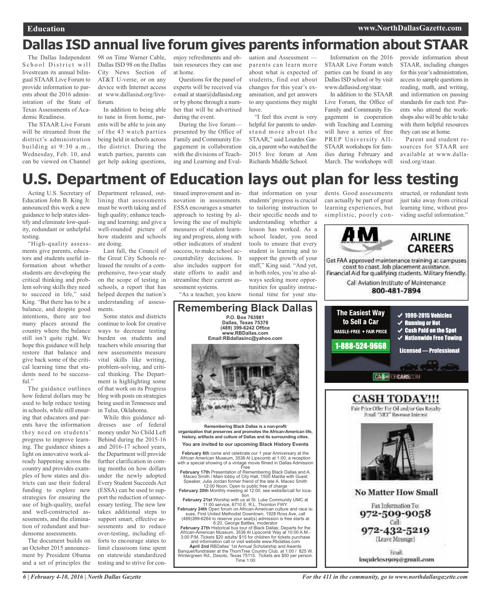## **Dallas ISD annual live forum gives parents information about STAAR**

The Dallas Independent School District will livestream its annual bilingual STAAR Live Forum to provide information to parents about the 2016 administration of the State of Texas Assessments of Academic Readiness.

The STAAR Live Forum will be streamed from the district's administration building at 9:30 a.m., Wednesday, Feb. 10, and can be viewed on Channel 98 on Time Warner Cable, Dallas ISD 98 on the Dallas City News Section of AT&T U-verse, or on any device with Internet access at www.dallasisd.org/liveforum.

In addition to being able to tune in from home, parents will be able to join any of the 43 watch parties being held in schools across the district. During the watch parties, parents can get help asking questions,

enjoy refreshments and obtain resources they can use at home.

Questions for the panel of experts will be received via e-mail at staar@dallasisd.org or by phone through a number that will be advertised during the event.

During the live forum presented by the Office of Family and Community Engagement in collaboration with the divisions of Teaching and Learning and Evaluation and Assessment parents can learn more about what is expected of students, find out about changes for this year's examination, and get answers to any questions they might have.

"I feel this event is very helpful for parents to understand more about the STAAR," said Lourdes Garcia, a parent who watched the 2015 live forum at Ann Richards Middle School.

Information on the 2016 STAAR Live Forum watch parties can be found in any Dallas ISD school or by visit www.dallasisd.org/staar.

In addition to the STAAR Live Forum, the Office of Family and Community Engagement in cooperation with Teaching and Learning will have a series of free PREP University All-STAAR workshops for families during February and March. The workshops will

provide information about STAAR, including changes for this year's administration, access to sample questions in reading, math, and writing, and information on passing standards for each test. Parents who attend the workshops also will be able to take with them helpful resources they can use at home.

Parent and student resources for STAAR are available at www.dallasisd.org/staar.

## **U.S. Department of Education lays out plan for less testing**

**P.O. Box 763981 Dallas, Texas 75376 (489) 399-6242 Office www.RBDallas.com Email:RBdallasinc@yahoo.com**

**Remembering Black Dallas is a non-profit**

**history, artifacts and culture of Dallas and its surrounding cities. You are invited to our upcoming Black History Events February 6th** come and celebrate our 1 year Anniversary at the

**February 17th** Presentation of Remembering Black Dallas and A. Maceo Smith / Main lobby of City Hall, 1500 Marilla with Guest Speaker, Julia Jordan former friend of the late A. Maceo Smith 12:00 Noon, Open to public free of charge

African-American Museum, 3536 Al Lipscomb Way at 10:00 A.M.- 3:00 P.M. Tickets \$20 adults/ \$15 for children for tickets purchase and information call or visit website www.Rbdallas.com **April 2nd** RBDallas' 1st Annual Scholarship and Awards

Time 1:00

Acting U.S. Secretary of Education John B. King Jr. announced this week a new guidance to help states identify and eliminate low-quality, redundant or unhelpful testing.

"High-quality assessments give parents, educators and students useful information about whether students are developing the critical thinking and problem solving skills they need to succeed in life," said King. "But there has to be a balance, and despite good intentions, there are too many places around the country where the balance still isn't quite right. We hope this guidance will help restore that balance and give back some of the critical learning time that students need to be successful."

The guidance outlines how federal dollars may be used to help reduce testing in schools, while still ensuring that educators and parents have the information they need on students' progress to improve learning. The guidance shines a light on innovative work already happening across the country and provides examples of how states and districts can use their federal funding to explore new strategies for ensuring the use of high-quality, useful and well-constructed assessments, and the elimination of redundant and burdensome assessments.

The document builds on an October 2015 announcement by President Obama and a set of principles the Department released, outlining that assessments must be worth taking and of high quality; enhance teaching and learning; and give a well-rounded picture of how students and schools are doing.

Last fall, the Council of the Great City Schools released the results of a comprehensive, two-year study on the scope of testing in schools, a report that has helped deepen the nation's understanding of assessments.

Some states and districts continue to look for creative ways to decrease testing burden on students and teachers while ensuring that new assessments measure vital skills like writing, problem-solving, and critical thinking. The Department is highlighting some of that work on its Progress blog with posts on strategies being used in Tennessee and in Tulsa, Oklahoma.

While this guidance addresses use of federal money under No Child Left Behind during the 2015-16 and 2016-17 school years, the Department will provide further clarification in coming months on how dollars under the newly adopted Every Student Succeeds Act (ESSA) can be used to support the reduction of unnecessary testing. The new law takes additional steps to support smart, effective assessments and to reduce over-testing, including efforts to encourage states to limit classroom time spent on statewide standardized testing and to strive for con-

tinued improvement and innovation in assessments. ESSA encourages a smarter approach to testing by allowing the use of multiple measures of student learning and progress, along with other indicators of student success, to make school accountability decisions. It also includes support for state efforts to audit and streamline their current assessment systems.

"As a teacher, you know

that information on your students' progress is crucial to tailoring instruction to their specific needs and to understanding whether a lesson has worked. As a school leader, you need tools to ensure that every student is learning and to support the growth of your staff," King said. "And yet, in both roles, you're also always seeking more opportunities for quality instructional time for your stu-

dents. Good assessments can actually be part of great learning experiences, but simplistic, poorly con-

structed, or redundant tests just take away from critical learning time, without providing useful information."

**AIRLINE** 

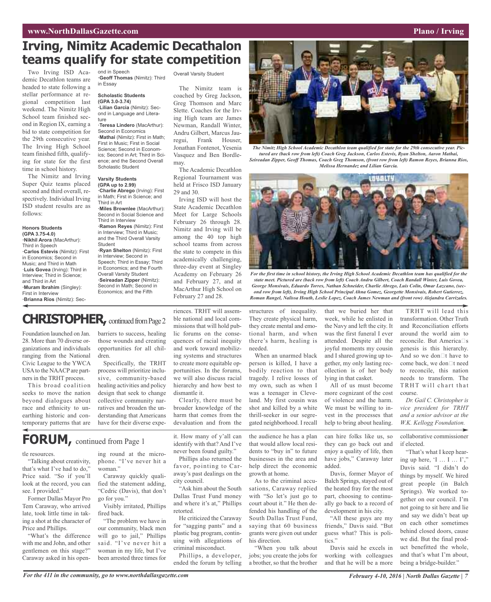### **Irving, Nimitz Academic Decathalon teams qualify for state competition**

Two Irving ISD Academic Decathlon teams are headed to state following a stellar performance at regional competition last weekend. The Nimitz High School team finished second in Region IX, earning a bid to state competition for the 29th consecutive year. The Irving High School team finished fifth, qualifying for state for the first time in school history.

The Nimitz and Irving Super Quiz teams placed second and third overall, respectively. Individual Irving ISD student results are as follows:

#### **Honors Students**

**(GPA 3.75-4.0) ·Nikhil Arora** (MacArthur): Third in Speech **·Carlos Estevis** (Nimitz): First in Economics; Second in Music; and Third in Math ·**Luis Govea** (Irving): Third in Interview; Third in Science; and Third in Art **·Muram Ibrahim** (Singley): First in Interview **·Brianna Rios** (Nimitz): Second in Speech **·Geoff Thomas** (Nimitz): Third in Essay

### **Scholastic Students**

**(GPA 3.0-3.74) ·Lilian Garcia** (Nimitz): Second in Language and Literature

**·Teresa Lindero** (MacArthur): Second in Economics **·Mathai** (Nimitz): First in Math; First in Music; First in Social Science; Second in Economics; Second in Art; Third in Science; and the Second Overall Scholastic Student

#### **Varsity Students**

**(GPA up to 2.99) ·Charlie Abrego** (Irving): First in Math; First in Science; and Third in Art **·Miles Brownlee** (MacArthur): Second in Social Science and Third in Interview **·Ramon Reyes** (Nimitz): First in Interview; Third in Music; and the Third Overall Varsity Student **·Ryan Shelton** (Nimitz): First in Interview; Second in Speech; Third in Essay; Third in Economics; and the Fourth Overall Varsity Student **·Seireadan Zipper** (Nimitz): Second in Math; Second in Economics; and the Fifth

#### Overall Varsity Student

The Nimitz team is coached by Greg Jackson, Greg Thomson and Marc Slette. Coaches for the Irving High team are James Newman, Randall Winter, Andru Gilbert, Marcus Jauregui, Frank Houser, Jonathan Fontenot, Yesenia Vasquez and Ben Bordlemay.

The Academic Decathlon Regional Tournament was held at Frisco ISD January 29 and 30.

Irving ISD will host the State Academic Decathlon Meet for Large Schools February 26 through 28. Nimitz and Irving will be among the 40 top high school teams from across the state to compete in this academically challenging, three-day event at Singley Academy on February 26 and February 27, and at MacArthur High School on February 27 and 28.

riences. TRHT will assemble national and local commissions that will hold public forums on the consequences of racial inequity and work toward mobilizing systems and structures to create more equitable opportunities. In the forums, we will also discuss racial hierarchy and how best to

### **CHRISTOPHER, COntinued from Page 2**

Foundation launched on Jan. 28. More than 70 diverse organizations and individuals ranging from the National Civic League to the YWCA USAto the NAACP are partners in the TRHT process.

This broad coalition seeks to move the nation beyond dialogues about race and ethnicity to unearthing historic and contemporary patterns that are barriers to success, healing those wounds and creating opportunities for all children.

Specifically, the TRHT process will prioritize inclusive, community-based healing activities and policy design that seek to change collective community narratives and broaden the un-

## **FORUM,** continued from Page <sup>1</sup>

tle resources.

"Talking about creativity, that's what I've had to do," Price said. "So if you'll look at the record, you can see. I provided."

Former Dallas Mayor Pro Tem Caraway, who arrived late, took little time in taking a shot at the character of Price and Phillips.

"What's the difference with me and John, and other gentlemen on this stage?" Caraway asked in his open-

derstanding that Americans have for their diverse expe-

ing round at the microphone. "I've never hit a

Caraway quickly qualified the statement adding, "Cedric (Davis), that don't

Visibly irritated, Phillips

"The problem we have in our community, black men will go to jail," Phillips said. "I've never hit a woman in my life, but I've been arrested three times for

it. How many of y'all can identify with that? And I've never been found guilty."

Clearly, there must be broader knowledge of the harm that comes from the devaluation and from the

dismantle it.

Phillips also returned the favor, pointing to Caraway's past dealings on the city council.

"Ask him about the South Dallas Trust Fund money and where it's at," Phillips retorted.

He criticized the Caraway for "sagging pants" and a plastic bag program, continuing with allegations of criminal misconduct.

Phillips, a developer, ended the forum by telling

the audience he has a plan that would allow local residents to "buy in" to future businesses in the area and help direct the economic growth at home.

structures of inequality. They create physical harm, they create mental and emotional harm, and when there's harm, healing is

When an unarmed black person is killed, I have a bodily reaction to that tragedy. I relive losses of my own, such as when I was a teenager in Cleveland. My first cousin was shot and killed by a white thrill-seeker in our segregated neighborhood. I recall

needed.

As to the criminal accusations, Caraway replied with "So let's just go to court about it." He then defended his handling of the South Dallas Trust Fund, saying that 60 business grants were given out under his direction.

"When you talk about jobs; you create the jobs for a brother, so that the brother

that we buried her that week, while he enlisted in the Navy and left the city. It was the first funeral I ever attended. Despite all the joyful moments my cousin and I shared growing up together, my only lasting recollection is of her body lying in that casket.

All of us must become more cognizant of the cost of violence and the harm. We must be willing to invest in the processes that help to bring about healing.

can hire folks like us, so they can go back out and enjoy a quality of life, then have jobs," Caraway later added.

Davis, former Mayor of Balch Springs, stayed out of the heated fray for the most part, choosing to continually go back to a record of development in his city.

"All these guys are my friends," Davis said. "But guess what? This is politics."

Davis said he excels in working with colleagues and that he will be a more

*The Nimitz High School Academic Decathlon team qualified for state for the 29th consecutive year. Pictured are (back row from left) Coach Greg Jackson, Carlos Estevis, Ryan Shelton, Aaron Mathai, Seireadan Zipper, Geoff Thomas, Coach Greg Thomson, (front row from left) Ramon Reyes, Brianna Rios, Melissa Hernandez and Lilian Garcia.*



For the first time in school history, the Irving High School Academic Decathlon team has qualified for the *state meet. Pictured are (back row from left) Coach Andru Gilbert, Coach Randall Winter, Luis Govea, George Monsivais, Eduardo Torres, Nathan Schneider, Charlie Abrego, Luis Colin, Omar Lazcano, (second row from left), Irving High School Principal Ahna Gomez, Georgette Monsivais, Robert Gutierrez, Roman Rangel, Nalissa Houth, Leslie Lopez, Coach James Newman and (front row) Alejandra Carrizales.*

TRHT will lead this transformation. Other Truth and Reconciliation efforts around the world aim to reconcile. But America s genesis is this hierarchy. And so we don t have to come back, we don t need to reconcile, this nation needs to transform. The TRHT will chart that course. *Dr. Gail C. Christopher is*

*vice president for TRHT and a senior advisor at the W.K. Kellogg Foundation.*

collaborative commissioner if elected.

"That's what I keep hearing up here,  $[1 \dots 1 \dots 1]^n$ , Davis said. "I didn't do things by myself. We hired great people (in Balch Springs). We worked together on our council. I'm not going to sit here and lie and say we didn't beat up on each other sometimes behind closed doors, cause we did. But the final product benefitted the whole, and that's what I'm about, being a bridge-builder."

woman."

go for you."

fired back.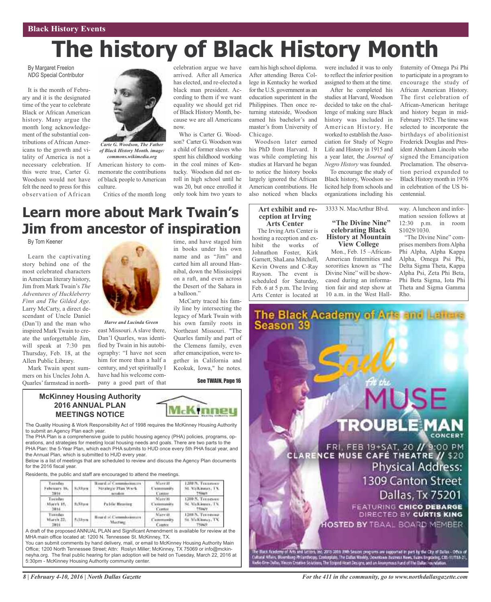# **The history of Black History Month**

By Margaret Freelon *NDG* Special Contributor

It is the month of February and it is the designated time of the year to celebrate Black or African American history. Many argue the month long acknowledgement of the substantial contributions of African Americans to the growth and vitality of America is not a necessary celebration. If this were true, Carter G. Woodson would not have felt the need to press for this observation of African



*of Black History Month. image: commons.wikimedia.org*

American history to commemorate the contributions of black people to American culture.

Critics of the month long

celebration argue we have earn his high school diploma. arrived. After all America has elected, and re-elected a black man president. According to them if we want equality we should get rid of Black History Month, because we are all Americans now.

Who is Carter G. Woodson? Carter G.Woodson was a child of former slaves who spent his childhood working in the coal mines of Kentucky. Woodson did not enroll in high school until he was 20, but once enrolled it only took him two years to

After attending Berea College in Kentucky he worked for the U.S. government as an education superintent in the Philippines. Then once returning stateside, Woodson earned his bachelor's and master's from University of Chicago.

Woodson later earned his PhD from Harvard. It was while completing his studies at Harvard he began to notice the history books largely ignored the African American contributions. He also noticed when blacks

The Irving Arts Center is hosting a reception and exhibit the works of Johnathon Foster, Kirk Garnett, ShaLana Mitchell, Kevin Owens and C-Ray Rayson. The event is scheduled for Saturday, Feb. 6 at 5 p.m. The Irving Arts Center is located at

were included it was to only to reflect the inferior position assigned to them at the time.

After he completed his studies at Harvard, Woodson decided to take on the challenge of making sure Black history was included in American History. He worked to establish the Association for Study of Negro Life and History in 1915 and a year later, the *Journal of Negro History* was founded.

To encourage the study of Black history, Woodson solicited help from schools and organizations including his fraternity of Omega Psi Phi to participate in a program to encourage the study of African American History. The first celebration of African-American heritage and history began in mid-February 1925.The time was selected to incorporate the birthdays of abolitionist Frederick Douglas and President Abraham Lincoln who signed the Emancipation Proclamation. The observation period expanded to Black History month in 1976 in celebration of the US bicentennial.

## **Learn more about Mark Twain's Jim from ancestor of inspiration**

By Tom Keener

Learn the captivating story behind one of the most celebrated characters in American literary history, Jim from Mark Twain's *The Adventures of Huckleberry Finn and The Gilded Age*. Larry McCarty, a direct descendant of Uncle Daniel (Dan'l) and the man who inspired Mark Twain to create the unforgettable Jim, will speak at 7:30 pm Thursday, Feb. 18, at the Allen Public Library.

Mark Twain spent summers on his Uncles John A. Quarles'farmstead in north-



east Missouri. A slave there, Dan'l Quarles, was identified by Twain in his autobiography: "I have not seen him for more than a half a century, and yet spiritually I have had his welcome company a good part of that *Harve and Lucinda Green*

time, and have staged him in books under his own name and as "Jim" and carted him all around Hannibal, down the Mississippi on a raft, and even across the Desert of the Sahara in a balloon."

McCarty traced his family line by intersecting the legacy of Mark Twain with his own family roots in Northeast Missouri. "The Quarles family and part of the Clemens family, even after emancipation, were together in California and Keokuk, Iowa," he notes.

See TWAIN, Page 16

### **McKinney Housing Authority 2016 ANNUAL PLAN MEETINGS NOTICE**

The Quality Housing & Work Responsibility Act of 1998 requires the McKinney Housing Authority to submit an Agency Plan each year.

The PHA Plan is a comprehensive guide to public housing agency (PHA) policies, programs, operations, and strategies for meeting local housing needs and goals. There are two parts to the PHA Plan: the 5-Year Plan, which each PHA submits to HUD once every 5th PHA fiscal year, and

the Annual Plan, which is submitted to HUD every year. Below is a list of meetings that are scheduled to review and discuss the Agency Plan documents for the 2016 fiscal year.

Residents, the public and staff are encouraged to attend the meetings.

| <b>Lussday</b><br>February 16<br>2916   | 5:33am  | Barril of Commodumers<br>hirategic Plan Wark<br>could be | Abrell<br><b>Summunity</b><br>Costar   | 1209 N. Technology<br>NL Michannet, TX<br><b>Times</b>     |
|-----------------------------------------|---------|----------------------------------------------------------|----------------------------------------|------------------------------------------------------------|
| <b>Tuesday</b><br>Marris 15,<br>$-2016$ | 5:38mm  | Public Brarier                                           | Nurritt<br>mmmmit<br>Contro            | 1200 N. Terrasoro<br>161. Alademours, T.N.<br><b>TTREV</b> |
| Tuesday<br>March 22.<br>2816            | Silkam. | Baurd of Commissioners<br>-Meeting.                      | Narritt.<br>ammunity<br><b>Country</b> | 1208 N. Ferraway<br>64. Nummary, TX<br>79860               |

A draft of the proposed ANNUAL PLAN and Significant Amendment is available for review at the MHA main office located at: 1200 N. Tennessee St. McKinney, TX.

You can submit comments by hand delivery, mail, or email to McKinney Housing Authority Main Office; 1200 North Tennessee Street; Attn: Roslyn Miller; McKinney, TX 75069 or info@mckinneyha.org. The final public hearing for plan adoption will be held on Tuesday, March 22, 2016 at 5:30pm - McKinney Housing Authority community center.

### **Art exhibit and re- ception at Irving Arts Center** 3333 N. MacArthur Blvd.

### **"The Divine Nine" celebrating Black History at Mountain View College**

Mon., Feb. 15 – African-American fraternities and sororities known as "The Divine Nine" will be showcased during an information fair and step show at 10 a.m. in the West Hallway. Aluncheon and information session follows at 12:30 p.m. in room S1029/1030.

"The Divine Nine" comprises members from Alpha Phi Alpha, Alpha Kappa Alpha, Omega Psi Phi, Delta Sigma Theta, Kappa Alpha Psi, Zeta Phi Beta, Phi Beta Sigma, Iota Phi Theta and Sigma Gamma Rho.

# The Black Academy of Arts and Lehas:<br>Season 39

# 1USE **TROUBLE MAN**

FRI, FEB 19+SAT, 20 // 9:00 PM<br>CLARENCE MUSE CAFÉ THEATRE // \$20 **Physical Address:** 1309 Canton Street

Dallas, Tx 75201

**FEATURING CHICO DEBARGE** DIRECTED BY CURTIS KING HOSTED BY TBAAL BOARD MEMBER

The Black Academy of Arts and Letters, inc. 2015 2016 20th Season programs are supported in part by the City of Dallax - Office of<br>Oduce Affairs, Bloombing Philanthropy, Centerplate, The Dallas Wenkly, Downtown Business Ke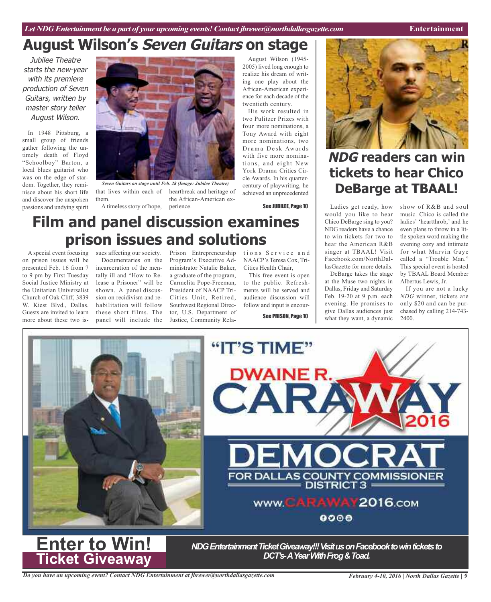## **August Wilson's Seven Guitars on stage**

Jubilee Theatre starts the new-year with its premiere production of Seven Guitars, written by master story teller August Wilson.

In 1948 Pittsburg, a small group of friends gather following the untimely death of Floyd "Schoolboy" Barton, a local blues guitarist who was on the edge of stardom. Together, they reminisce about his short life and discover the unspoken passions and undying spirit



that lives within each of heartbreak and heritage of them. *Seven Guitars on stage until Feb. 28 (Image: Jubilee Theatre)*

A timeless story of hope, perience. the African-American ex-

August Wilson (1945- 2005) lived long enough to realize his dream of writing one play about the African-American experience for each decade of the twentieth century.

His work resulted in two Pulitzer Prizes with four more nominations, a Tony Award with eight more nominations, two Drama Desk Awards with five more nominations, and eight New York Drama Critics Circle Awards. In his quartercentury of playwriting, he achieved an unprecedented

See JUBILEE, Page 10

### **Film and panel discussion examines prison issues and solutions**

A special event focusing on prison issues will be presented Feb. 16 from 7 to 9 pm by First Tuesday Social Justice Ministry at the Unitarian Universalist Church of Oak Cliff, 3839 W. Kiest Blvd., Dallas. Guests are invited to learn more about these two is-

sues affecting our society. Documentaries on the incarceration of the mentally ill and "How to Release a Prisoner" will be shown. A panel discussion on recidivism and rehabilitation will follow these short films. The panel will include the

Prison Entrepreneurship tions Service and Program's Executive Administrator Natalie Baker, a graduate of the program, Carmelita Pope-Freeman, to the public. Refresh-President of NAACP Tri-Cities Unit, Retired, Southwest Regional Director, U.S. Department of Justice, Community Rela-

NAACP's Teresa Cox, Tri-Cities Health Chair,

This free event is open ments will be served and audience discussion will follow and input is encour-

See PRISON, Page 10



**NDG readers can win tickets to hear Chico DeBarge at TBAAL!**

Ladies get ready, how show of R&B and soul would you like to hear Chico DeBarge sing to you? NDG readers have a chance to win tickets for two to hear the American R&B singer at TBAAL! Visit Facebook.com/NorthDallasGazette for more details.

DeBarge takes the stage at the Muse two nights in Dallas, Friday and Saturday Feb. 19-20 at 9 p.m. each evening. He promises to give Dallas audiences just what they want, a dynamic

music. Chico is called the ladies' 'heartthrob,' and he even plans to throw in a little spoken word making the evening cozy and intimate for what Marvin Gaye called a "Trouble Man." This special event is hosted by TBAAL Board Member Albertus Lewis, Jr.

If you are not a lucky *NDG* winner, tickets are only \$20 and can be purchased by calling 214-743- 2400.



*NDG Entertainment Ticket Giveaway!!! Visit us on Facebook to win tickets to*<br>DCTs-A Year With Frog & Toad.

*Do you have an upcoming event? Contact NDG Entertainment at jbrewer@northdallasgazette.com*

**Ticket Giveaway**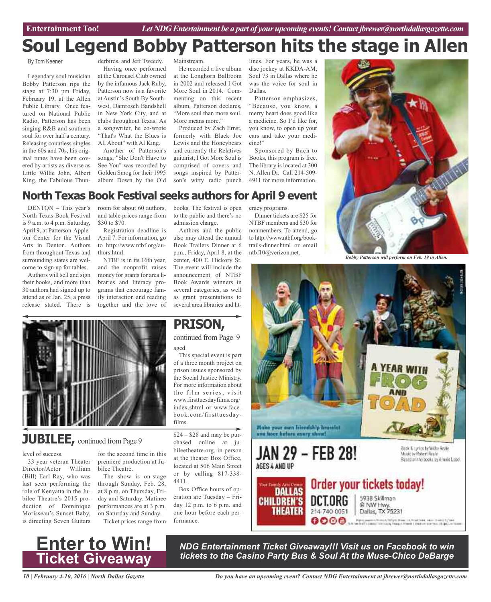## **Soul Legend Bobby Patterson hits the stage in Allen**

By Tom Keener

Legendary soul musician Bobby Patterson rips the stage at 7:30 pm Friday, February 19, at the Allen Public Library. Once featured on National Public Radio, Patterson has been singing R&B and southern soul for over half a century. Releasing countless singles in the 60s and 70s, his original tunes have been covered by artists as diverse as Little Willie John, Albert King, the Fabulous Thun-

derbirds, and Jeff Tweedy. Having once performed at the Carousel Club owned by the infamous Jack Ruby, Patterson now is a favorite at Austin's South By Southwest, Damrosch Bandshell in New York City, and at clubs throughout Texas. As a songwriter, he co-wrote "That's What the Blues is All About" with Al King.

Another of Patterson's songs, "She Don't Have to See You" was recorded by Golden Smog for their 1995 album Down by the Old

Mainstream.

He recorded a live album at the Longhorn Ballroom in 2002 and released I Got More Soul in 2014. Commenting on this recent album, Patterson declares, "More soul than more soul. More means more."

Produced by Zach Ernst, formerly with Black Joe Lewis and the Honeybears and currently the Relatives guitarist, I Got More Soul is comprised of covers and songs inspired by Patterson's witty radio punch

lines. For years, he was a disc jockey at KKDA-AM, Soul 73 in Dallas where he was the voice for soul in Dallas.

Patterson emphasizes, "Because, you know, a merry heart does good like a medicine. So I'd like for, you know, to open up your ears and take your medicine!"

Sponsored by Bach to Books, this program is free. The library is located at 300 N. Allen Dr. Call 214-509- 4911 for more information.

### **North Texas Book Festival seeks authors for April 9 event**

DENTON – This year's North Texas Book Festival is 9 a.m. to 4 p.m. Saturday, April 9, at Patterson-Appleton Center for the Visual Arts in Denton. Authors from throughout Texas and surrounding states are welcome to sign up for tables.

Authors will sell and sign their books, and more than 30 authors had signed up to attend as of Jan. 25, a press release stated. There is room for about 60 authors, and table prices range from \$30 to \$70.

Registration deadline is April 7. For information, go to http://www.ntbf.org/authors.html.

NTBF is in its 16th year, and the nonprofit raises money for grants for area libraries and literacy programs that encourage family interaction and reading together and the love of

books. The festival is open eracy programs. to the public and there's no admission charge.

Authors and the public also may attend the annual Book Trailers Dinner at 6 p.m., Friday, April 8, at the center, 400 E. Hickory St. The event will include the announcement of NTBF Book Awards winners in several categories, as well as grant presentations to several area libraries and lit-

Dinner tickets are \$25 for NTBF members and \$30 for nonmembers. To attend, go to http://www.ntbf.org/booktrails-dinner.html or email ntbf10@verizon.net.



*Bobby Patterson will perform on Feb. 19 in Allen.*





### **JUBILEE**, continued from Page 9

level of success.

33 year veteran Theater Director/Actor William (Bill) Earl Ray, who was last seen performing the role of Kenyatta in the Jubilee Theatre's 2015 production of Dominique Morisseau's Sunset Baby, is directing Seven Guitars

for the second time in this premiere production at Jubilee Theatre.

The show is on-stage through Sunday, Feb. 28, at 8 p.m. on Thursday, Friday and Saturday. Matinee performances are at 3 p.m. on Saturday and Sunday. Ticket prices range from

### **PRISON,**

continued from Page 9 aged.

This special event is part of a three month project on prison issues sponsored by the Social Justice Ministry. For more information about the film series, visit www.firsttuesdayfilms.org/ index.shtml or www.facebook.com/firsttuesdayfilms.

 $$24 - $28$  and may be purchased online at jubileetheatre.org, in person at the theater Box Office, located at 506 Main Street or by calling 817-338- 4411.

Box Office hours of operation are Tuesday – Friday 12 p.m. to 6 p.m. and one hour before each performance.



*10 | February 4-10, 2016 | North Dallas Gazette*

**Enter to Win!**

**Ticket Giveaway**

*Do you have an upcoming event? Contact NDG Entertainment at jbrewer@northdallasgazette.com*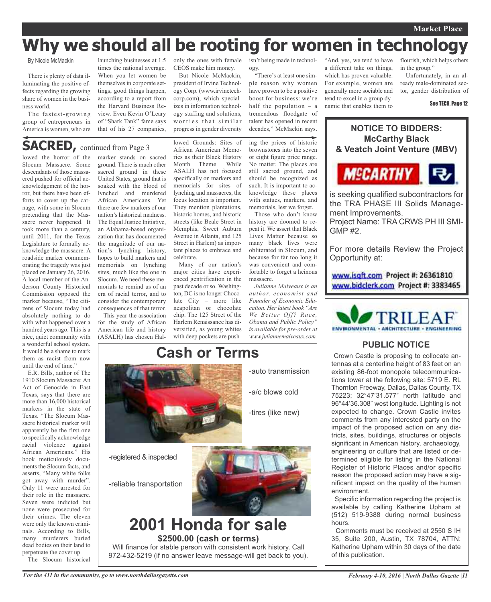### **Market Place**

flourish, which helps others

Unfortunately, in an already male-dominated sector, gender distribution of

See TECH, Page 12

in the group."

## **Why we should all be rooting for women in technology**

By Nicole McMackin

There is plenty of data illuminating the positive effects regarding the growing share of women in the business world.

The fastest-growing group of entrepreneurs in America is women, who are

### marker stands on sacred **SACRED,** continued from Page <sup>3</sup>

lowed the horror of the Slocum Massacre. Some descendants of those massacred pushed for official acknowledgement of the horror, but there have been efforts to cover up the carnage, with some in Slocum pretending that the Massacre never happened. It took more than a century, until 2011, for the Texas Legislature to formally acknowledge the massacre. A roadside marker commemorating the tragedy was just placed on January 26, 2016. A local member of the Anderson County Historical Commission opposed the marker because, "The citizens of Slocum today had absolutely nothing to do with what happened over a hundred years ago. This is a nice, quiet community with a wonderful school system. It would be a shame to mark them as racist from now until the end of time."

E.R. Bills, author of The 1910 Slocum Massacre: An Act of Genocide in East Texas, says that there are more than 16,000 historical markers in the state of Texas. "The Slocum Massacre historical marker will apparently be the first one to specifically acknowledge racial violence against African Americans." His book meticulously documents the Slocum facts, and asserts, "Many white folks got away with murder". Only 11 were arrested for their role in the massacre. Seven were indicted but none were prosecuted for their crimes. The eleven were only the known criminals. According to Bills, many murderers buried dead bodies on their land to perpetuate the cover up. The Slocum historical

times the national average. When you let women be themselves in corporate settings, good things happen, according to a report from the Harvard Business Review. Even Kevin O'Leary of "Shark Tank" fame says that of his 27 companies,

ground. There is much other sacred ground in these United States, ground that is soaked with the blood of lynched and murdered African Americans. Yet there are few markers of our nation's historical madness. The Equal Justice Initiative, an Alabama-based organization that has documented the magnitude of our nation's lynching history, hopes to build markers and memorials on lynching sites, much like the one in Slocum. We need these memorials to remind us of an era of racial terror, and to consider the contemporary consequences of that terror. This year the association for the study of African American life and history (ASALH) has chosen Hal-

launching businesses at 1.5 only the ones with female CEOS make him money.

> But Nicole McMackin, president of Irvine Technology Corp. (www.irvinetechcorp.com), which specializes in information technology staffing and solutions, worries that similar progress in gender diversity

lowed Grounds: Sites of African American Memories as their Black History Month Theme. While ASALH has not focused specifically on markers and memorials for sites of lynching and massacres, the focus location is important. They mention plantations, historic homes, and historic streets (like Beale Street in Memphis, Sweet Auburn Avenue in Atlanta, and 125 Street in Harlem) as important places to embrace and celebrate.

Many of our nation's major cities have experienced gentrification in the past decade or so. Washington, DC is no longer Chocolate City – more like neapolitan or chocolate chip. The 125 Street of the Harlem Renaissance has diversified, as young whites with deep pockets are pushisn't being made in technology.

"There's at least one simple reason why women have proven to be a positive boost for business: we're half the population  $-$  a tremendous floodgate of talent has opened in recent decades," McMackin says.

ing the prices of historic brownstones into the seven or eight figure price range. No matter. The places are still sacred ground, and should be recognized as such. It is important to acknowledge these places with statues, markers, and memorials, lest we forget.

Those who don't know history are doomed to repeat it. We assert that Black Lives Matter because so many black lives were obliterated in Slocum, and because for far too long it was convenient and comfortable to forget a heinous massacre.

*Julianne Malveaux is an author, economist and Founder of Economic Education. Her latest book "Are We Better Off? Race, Obama and Public Policy" is available for pre-order at www.juliannemalveaux.com.*



Will finance for stable person with consistent work history. Call 972-432-5219 (if no answer leave message-will get back to you).

**NOTICE TO BIDDERS: McCarthy Black & Veatch Joint Venture (MBV)**

"And, yes, we tend to have a different take on things, which has proven valuable. For example, women are generally more sociable and tend to excel in a group dynamic that enables them to



ment Improvements. Project Name: TRA CRWS PH III SMI-GMP #2.

For more details Review the Project Opportunity at:

www.isgft.com Project #: 26361810 www.bidclerk.com Project #: 3383465



### **PUBLIC NOTICE**

Crown Castle is proposing to collocate antennas at a centerline height of 83 feet on an existing 86-foot monopole telecommunications tower at the following site: 5719 E. RL Thornton Freeway, Dallas, Dallas County, TX 75223; 32°47'31.577" north latitude and 96°44'36.308" west longitude. Lighting is not expected to change. Crown Castle invites comments from any interested party on the impact of the proposed action on any districts, sites, buildings, structures or objects significant in American history, archaeology, engineering or culture that are listed or determined eligible for listing in the National Register of Historic Places and/or specific reason the proposed action may have a significant impact on the quality of the human environment.

Specific information regarding the project is available by calling Katherine Upham at (512) 519-9388 during normal business hours.

Comments must be received at 2550 S IH 35, Suite 200, Austin, TX 78704, ATTN: Katherine Upham within 30 days of the date of this publication.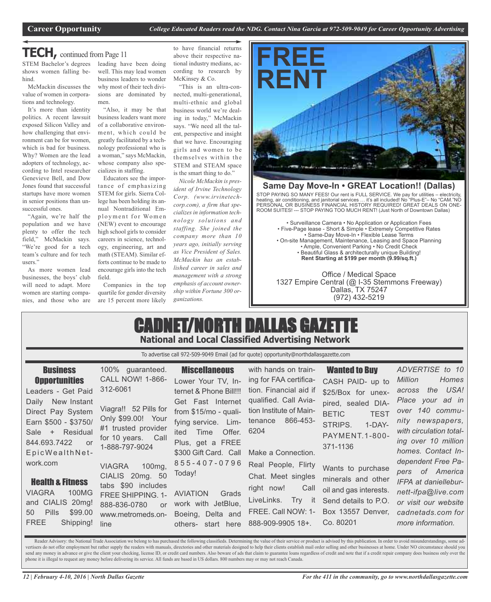### **TECH,** continued from Page <sup>11</sup>

STEM Bachelor's degrees leading have been doing shows women falling behind.

McMackin discusses the value of women in corporations and technology.

It's more than identity politics. A recent lawsuit exposed Silicon Valley and how challenging that environment can be for women, which is bad for business. Why? Women are the lead adopters of technology, according to Intel researcher Genevieve Bell, and Dow Jones found that successful startups have more women in senior positions than unsuccessful ones.

"Again, we're half the population and we have plenty to offer the tech field," McMackin says. "We're good for a tech team's culture and for tech users."

As more women lead businesses, the boys' club will need to adapt. More women are starting companies, and those who are

well. This may lead women business leaders to wonder why most of their tech divisions are dominated by men.

"Also, it may be that business leaders want more of a collaborative environment, which could be greatly facilitated by a technology professional who is a woman," says McMackin, whose company also specializes in staffing.

Educators see the importance of emphasizing STEM for girls. Sierra College has been holding its annual Nontraditional Employment for Women (NEW) event to encourage high school girls to consider careers in science, technology, engineering, art and math (STEAM). Similar efforts continue to be made to encourage girls into the tech field.

Companies in the top quartile for gender diversity are 15 percent more likely

to have financial returns above their respective national industry medians, according to research by McKinsey & Co.

"This is an ultra-connected, multi-generational, multi-ethnic and global business world we're dealing in today," McMackin says. "We need all the talent, perspective and insight that we have. Encouraging girls and women to be themselves within the STEM and STEAM space is the smart thing to do."

*Nicole McMackin is president of Irvine Technology Corp. (www.irvinetechcorp.com), a firm that specializes in information technology solutions and staffing. She joined the company more than 10 years ago, initially serving as Vice President of Sales. McMackin has an established career in sales and management with a strong emphasis of account ownership within Fortune 300 organizations.*



### **Same Day Move-In • GREAT Location!! (Dallas)**

STOP PAYING SO MANY FEES! Our rent is FULL SERVICE. We pay for utilities – electricity, heating, air conditioning, and janitorial services … it's all included! No "Plus-E"– No "CAM."NO PERSONAL OR BUSINESS FINANCIAL HISTORY REQUIRED! GREAT DEALS ON ONE-ROOM SUITES! --- STOP PAYING TOO MUCH RENT! (Just North of Downtown Dallas)

• Surveillance Camera • No Application or Application Fees • Five-Page lease - Short & Simple • Extremely Competitive Rates • Same-Day Move-In • Flexible Lease Terms • On-site Management, Maintenance, Leasing and Space Planning • Ample, Convenient Parking • No Credit Check • Beautiful Glass & architecturally unique Building! **Rent Starting at \$199 per month (9.99/sq.ft.)**

Office / Medical Space 1327 Empire Central (@ I-35 Stemmons Freeway) Dallas, TX 75247 (972) 432-5219

### DNET/NORTH DALLAS GAZET **National and Local Classified Advertising Network**

| To advertise call 972-509-9049 Email (ad for quote) opportunity@northdallasgazette.com                                                                       |                                                                                                                                                        |                                                                                                                                                                    |                                                                                                                                        |                                                                                                                                   |                                                                                                                                                       |  |  |  |
|--------------------------------------------------------------------------------------------------------------------------------------------------------------|--------------------------------------------------------------------------------------------------------------------------------------------------------|--------------------------------------------------------------------------------------------------------------------------------------------------------------------|----------------------------------------------------------------------------------------------------------------------------------------|-----------------------------------------------------------------------------------------------------------------------------------|-------------------------------------------------------------------------------------------------------------------------------------------------------|--|--|--|
| <b>Business</b><br><b>Opportunities</b>                                                                                                                      | 100% guaranteed.<br><b>CALL NOW! 1-866-</b>                                                                                                            | <b>Miscellaneous</b><br>Lower Your TV, In-                                                                                                                         | with hands on train-<br>ing for FAA certifica-                                                                                         | <b>Wanted to Buy</b><br>CASH PAID- up to                                                                                          | ADVERTISE to 10<br>Homes<br>Million                                                                                                                   |  |  |  |
| Leaders - Get Paid<br>New Instant<br>Daily<br>Direct Pay System<br>Earn \$500 - \$3750/<br>+ Residual<br>Sale<br>844.693.7422<br>or<br>EpicWealthNet-        | 312-6061<br>Viagra!! 52 Pills for<br>Only \$99.00! Your<br>#1 trusted provider<br>for 10 years. Call<br>1-888-797-9024                                 | ternet & Phone Bill!!!<br>Get Fast Internet<br>from \$15/mo - quali-<br>fying service. Lim-<br>Offer.<br>Time<br>ited<br>Plus, get a FREE<br>\$300 Gift Card. Call | tion. Financial aid if<br>qualified. Call Avia-<br>tion Institute of Main-<br>866-453-<br>tenance<br>6204<br>Make a Connection.        | \$25/Box for unex-<br>pired, sealed DIA-<br><b>TEST</b><br><b>BETIC</b><br>STRIPS.<br>1-DAY-<br><b>PAYMENT.1-800-</b><br>371-1136 | the USA!<br>across<br>Place your ad in<br>over 140 commu-<br>nity newspapers,<br>with circulation total-<br>ing over 10 million<br>homes. Contact In- |  |  |  |
| work.com<br><b>Health &amp; Fitness</b><br><b>VIAGRA</b><br><b>100MG</b><br>CIALIS 20mg!<br>and<br>\$99.00<br><b>Pills</b><br>50<br><b>FREE</b><br>Shipping! | 100mg,<br><b>VIAGRA</b><br>CIALIS 20mg. 50<br>tabs \$90 includes<br><b>FREE SHIPPING. 1-</b><br>888-836-0780<br><b>or</b><br>www.metromeds.on-<br>line | 855-407-0796<br>Today!<br><b>AVIATION</b><br>Grads<br>work with JetBlue,<br>Boeing, Delta and<br>others- start here                                                | Real People, Flirty<br>Chat. Meet singles<br>right now!<br>Call<br>LiveLinks.<br>Try<br>-it<br>FREE. Call NOW: 1-<br>888-909-9905 18+. | Wants to purchase<br>minerals and other<br>oil and gas interests.<br>Send details to P.O.<br>Box 13557 Denver,<br>Co. 80201       | dependent Free Pa-<br>pers of America<br>IFPA at daniellebur-<br>nett-ifpa@live.com<br>or visit our website<br>cadnetads.com for<br>more information. |  |  |  |

Reader Advisory: the National Trade Association we belong to has purchased the following classifieds. Determining the value of their service or product is advised by this publication. In order to avoid misunderstandings, s vertisers do not offer employment but rather supply the readers with manuals, directories and other materials designed to help their clients establish mail order selling and other businesses at home. Under NO circumstance send any money in advance or give the client your checking, license ID, or credit card numbers. Also beware of ads that claim to guarantee loans regardless of credit and note that if a credit repair company does business o phone it is illegal to request any money before delivering its service. All funds are based in US dollars. 800 numbers may or may not reach Canada.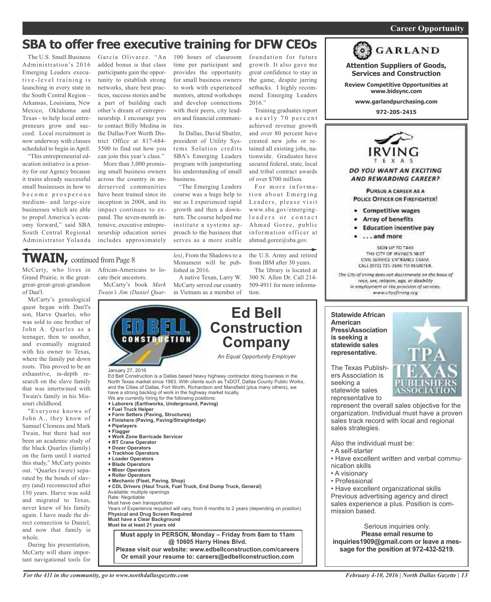### *On a quest for qualified candidates? Contact Nina Garcia at 972-509-9049* **Career Opportunity**

### **SBA to offer free executive training for DFW CEOs**

The U.S. Small Business Administration's 2016 Emerging Leaders executive-level training is launching in every state in the South Central Region – Arkansas, Louisiana, New Mexico, Oklahoma and Texas - to help local entrepreneurs grow and succeed. Local recruitment is now underway with classes scheduled to begin in April.

"This entrepreneurial education initiative is a priority for our Agency because it trains already successful small businesses in how to b e c o m e p r o s p e r o u s medium- and large-size businesses which are able to propel America's economy forward," said SBA South Central Regional Administrator Yolanda

Grand Prairie, is the greatgreat-great-great-grandson

McCarty's genealogical

teenager, then to another,

exhaustive, in-depth research on the slave family

Twain's family in his Mis-

Samuel Clemens and Mark Twain, but there had not been an academic study of the black Quarles (family)

this study," McCarty points

ery (and) reconnected after 150 years. Harve was sold and migrated to Texas, never knew of his family

and now that family is

During his presentation, McCarty will share important navigational tools for

whole.

souri childhood.

of Dan'l.

McCarty, who lives in African-Americans to lo-

**TWAIN,** continued from Page <sup>8</sup>

Garcia Olivarez. "An added bonus is that class participants gain the opportunity to establish strong networks, share best practices, success stories and be a part of building each other's dream of entrepreneurship. I encourage you to contact Billy Medina in the Dallas/Fort Worth District Office at 817-684- 5500 to find out how you can join this year's class."

More than 3,000 promising small business owners across the country in underserved communities have been trained since its inception in 2008, and its impact continues to expand. The seven-month intensive, executive entrepreneurship education series includes approximately

cate their ancestors.

McCarty's book *Mark Twain's Jim (Daniel Quar-*

100 hours of classroom time per participant and provides the opportunity for small business owners to work with experienced mentors, attend workshops and develop connections with their peers, city leaders and financial communities.

In Dallas, David Shutler, president of Utility Systems Solution credits SBA's Emerging Leaders program with jumpstarting his understanding of small business.

"The Emerging Leaders course was a huge help to me as I experienced rapid growth and then a downturn. The course helped me institute a systems approach to the business that serves as a more stable

*les)*, From the Shadows to a

lished in 2016.

Training graduates report a nearly 70 percent achieved revenue growth and over 80 percent have created new jobs or retained all existing jobs, na-

 $2016."$ 

secured federal, state, local and tribal contract awards of over \$700 million. For more information about Emerging Leaders, please visit www.sba.gov/emergingleaders or contact Ahmad Goree, public information officer at ahmad.goree@sba.gov.

tionwide. Graduates have

foundation for future growth. It also gave me great confidence to stay in the game, despite jarring setbacks. I highly recommend Emerging Leaders

the U.S. Army and retired from IBM after 30 years.

The library is located at 300 N. Allen Dr. Call 214- 509-4911 for more informa-



Monument will be pub-A native Texan, Larry W. McCarty served our country in Vietnam as a member of tion.



**www.bidsync.com**

**GARLAND** 

**www.garlandpurchasing.com 972-205-2415**



DO YOU WANT AN EXCITING AND REWARDING CAREER?

PURSUE A CAREER AS A **POLICE OFFICER OR FIREFIGHTER!** 

- Competitive wages
- Array of benefits
- · Education incentive pay
- . . . . and more

SIGN UP TO TAKE THE CITY OF IRVING'S NEXT CIVIL SERVICE ENTRANCE EXAM. CALL (972) 721-2696 TO REGISTER.

The City of Irving does not discriminate on the basis of race, sex, religion, age, or disability in employment or the provision of services. www.cityofirving.org

**Statewide African American Press\Association is seeking a statewide sales representative.**



The Texas Publishers Association is seeking a statewide sales representative to

represent the overall sales objective for the organization. Individual must have a proven sales track record with local and regional sales strategies.

Also the individual must be:

- A self-starter
- Have excellent written and verbal communication skills
- A visionary
- Professional

• Have excellent organizational skills Previous advertising agency and direct sales experience a plus. Position is commission based.

Serious inquiries only. **Please email resume to inquiries1909@gmail.com or leave a message for the position at 972-432-5219.**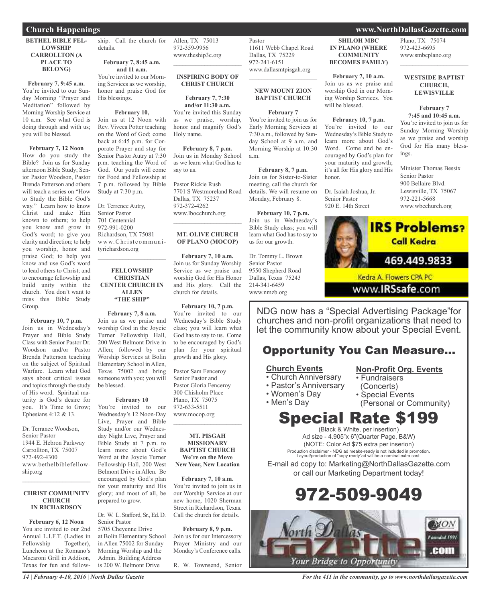### **BETHEL BIBLE FEL-LOWSHIP CARROLLTON (A PLACE TO BELONG)**

#### **February 7, 9:45 a.m.**

You're invited to our Sunday Morning "Prayer and Meditation" followed by Morning Worship Service at 10 a.m. See what God is doing through and with us; you will be blessed.

#### **February 7, 12 Noon**

How do you study the Bible? Join us for Sunday afternoon Bible Study; Senior Pastor Woodson, Pastor Brenda Patterson and others will teach a series on "How to Study the Bible God's way." Learn how to know Christ and make Him known to others; to help you know and grow in God's word; to give you clarity and direction; to help you worship, honor and praise God; to help you know and use God's word to lead others to Christ; and to encourage fellowship and build unity within the church. You don't want to miss this Bible Study Group.

**February 10, 7 p.m.** Join us in Wednesday's

Prayer and Bible Study Class with Senior Pastor Dr. Woodson and/or Pastor Brenda Patterson teaching on the subject of Spiritual Warfare. Learn what God says about critical issues and topics through the study of His word. Spiritual maturity is God's desire for you. It's Time to Grow; Ephesians 4:12 & 13.

Dr. Terrance Woodson, Senior Pastor 1944 E. Hebron Parkway Carrollton, TX 75007 972-492-4300 www.bethelbiblefellowship.org

#### **CHRIST COMMUNITY CHURCH IN RICHARDSON**

 $\mathcal{L}_\text{max}$  and  $\mathcal{L}_\text{max}$  and  $\mathcal{L}_\text{max}$ 

**February 6, 12 Noon** You are invited to our 2nd Annual L.I.F.T. (Ladies in Fellowship Together), Luncheon at the Romano's Macaroni Grill in Addison, Texas for fun and fellowship. Call the church for details.

### **February 7, 8:45 a.m. and 11 a.m.**

You're invited to our Morning Services as we worship, honor and praise God for His blessings.

#### **February 10,**

Join us at 12 Noon with Rev. Viveca Potter teaching on the Word of God; come back at 6:45 p.m. for Corporate Prayer and stay for Senior Pastor Autry at 7:30 p.m. teaching the Word of God. Our youth will come for Food and Fellowship at 7 p.m. followed by Bible Study at 7:30 p.m.

Dr. Terrence Autry, Senior Pastor 701 Centennial 972-991-0200 Richardson, TX 75081 www.Christcommunityrichardson.org  $\mathcal{L}_\text{max}$  , which is a set of the set of the set of the set of the set of the set of the set of the set of the set of the set of the set of the set of the set of the set of the set of the set of the set of the set of

### **FELLOWSHIP CHRISTIAN CENTER CHURCH IN ALLEN "THE SHIP"**

### **February 7, 8 a.m.**

Join us as we praise and worship God in the Joycie Turner Fellowship Hall, 200 West Belmont Drive in Allen; followed by our Worship Services at Bolin Elementary School in Allen, Texas 75002 and bring someone with you; you will be blessed.

### **February 10**

You're invited to our Wednesday's 12 Noon-Day Live, Prayer and Bible Study and/or our Wednesday Night Live, Prayer and Bible Study at 7 p.m. to learn more about God's Word at the Joycie Turner Fellowship Hall, 200 West Belmont Drive in Allen. Be encouraged by God's plan for your maturity and His glory; and most of all, be prepared to grow.

Dr. W. L. Stafford, Sr., Ed. D. Senior Pastor

5705 Cheyenne Drive at Bolin Elementary School in Allen 75002 for Sunday Morning Worship and the Admin. Building Address is 200 W. Belmont Drive

Allen, TX 75013 972-359-9956 www.theship3c.org  $\overline{\phantom{a}}$  , and the set of the set of the set of the set of the set of the set of the set of the set of the set of the set of the set of the set of the set of the set of the set of the set of the set of the set of the s

### **INSPIRING BODY OF CHRIST CHURCH**

Pastor

a.m.

11611 Webb Chapel Road Dallas, TX 75229 972-241-6151

www.dallasmtpisgah.org  $\mathcal{L}$  , and the set of the set of the set of the set of the set of the set of the set of the set of the set of the set of the set of the set of the set of the set of the set of the set of the set of the set of the set

**NEW MOUNT ZION BAPTIST CHURCH**

**February 7** You're invited to join us for Early Morning Services at 7:30 a.m., followed by Sunday School at 9 a.m. and Morning Worship at 10:30

**February 8, 7 p.m.** Join us for Sister-to-Sister meeting, call the church for details. We will resume on Monday, February 8.

**February 10, 7 p.m.** Join us in Wednesday's Bible Study class; you will learn what God has to say to

us for our growth.

Dr. Tommy L. Brown Senior Pastor 9550 Shepherd Road Dallas, Texas 75243 214-341-6459 www.nmzb.org

**February 7, 7:30 and/or 11:30 a.m.**

You're invited this Sunday as we praise, worship, honor and magnify God's Holy name.

**February 8, 7 p.m.** Join us in Monday School as we learn what God has to say to us.

Pastor Rickie Rush 7701 S Westmoreland Road Dallas, TX 75237 972-372-4262 www.Ibocchurch.org  $\mathcal{L}=\mathcal{L}^{\mathcal{L}}$  , where  $\mathcal{L}^{\mathcal{L}}$  , we have the set of the set of the set of the set of the set of the set of the set of the set of the set of the set of the set of the set of the set of the set of the set of

### **MT. OLIVE CHURCH OF PLANO (MOCOP)**

**February 7, 10 a.m.** Join us for Sunday Worship Service as we praise and worship God for His Honor and His glory. Call the church for details.

**February 10, 7 p.m.** You're invited to our Wednesday's Bible Study class; you will learn what God has to say to us. Come to be encouraged by God's plan for your spiritual growth and His glory.

Pastor Sam Fenceroy Senior Pastor and Pastor Gloria Fenceroy 300 Chisholm Place Plano, TX 75075 972-633-5511 www.mocop.org

#### **MT. PISGAH MISSIONARY BAPTIST CHURCH We're on the Move New Year, New Location**

 $\mathcal{L}=\mathcal{L}^{\mathcal{L}}$  , where  $\mathcal{L}^{\mathcal{L}}$  , we have the set of the set of the set of the set of the set of the set of the set of the set of the set of the set of the set of the set of the set of the set of the set of

**February 7, 10 a.m.** You're invited to join us in our Worship Service at our new home, 1020 Sherman Street in Richardson, Texas. Call the church for details.

**February 8, 9 p.m.** Join us for our Intercessory Prayer Ministry and our Monday's Conference calls.

R. W. Townsend, Senior

### **SHILOH MBC IN PLANO (WHERE COMMUNITY BECOMES FAMILY)**

**February 7, 10 a.m.** Join us as we praise and worship God in our Morning Worship Services. You will be blessed.

**February 10, 7 p.m.** You're invited to our Wednesday's Bible Study to learn more about God's Word. Come and be encouraged by God's plan for your maturity and growth; it's all for His glory and His honor.

Dr. Isaiah Joshua, Jr. Senior Pastor 920 E. 14th Street

Plano, TX 75074 972-423-6695 www.smbcplano.org

### **WESTSIDE BAPTIST CHURCH, LEWISVILLE**

 $\mathcal{L}=\mathcal{L}^{\mathcal{L}}$  , where  $\mathcal{L}^{\mathcal{L}}$  , we have the set of the set of the set of the set of the set of the set of the set of the set of the set of the set of the set of the set of the set of the set of the set of

#### **February 7 7:45 and 10:45 a.m.**

You're invited to join us for Sunday Morning Worship as we praise and worship God for His many blessings.

Minister Thomas Bessix Senior Pastor 900 Bellaire Blvd. Lewisville, TX 75067 972-221-5668 www.wbcchurch.org



NDG now has a "Special Advertising Package"for churches and non-profit organizations that need to let the community know about your Special Event.

### Opportunity You Can Measure...

### **Church Events**

- Church Anniversary
- Pastor's Anniversary
- Women's Day

• Men's Day

(Concerts) • Special Events

• Fundraisers

(Personal or Community)

**Non-Profit Org. Events**

## Special Rate \$199

(Black & White, per insertion) Ad size - 4.905"x 6"(Quarter Page, B&W) (NOTE: Color Ad \$75 extra per inserion) Production disclaimer - NDG ad meake-ready is not included in promotion. Layout/production of "copy ready"ad will be a nominal extra cost.

E-mail ad copy to: Marketing@NorthDallasGazette.com or call our Marketing Department today!





*14 | February 4-10, 2016 | North Dallas Gazette*

### **Church Happenings www.NorthDallasGazette.com**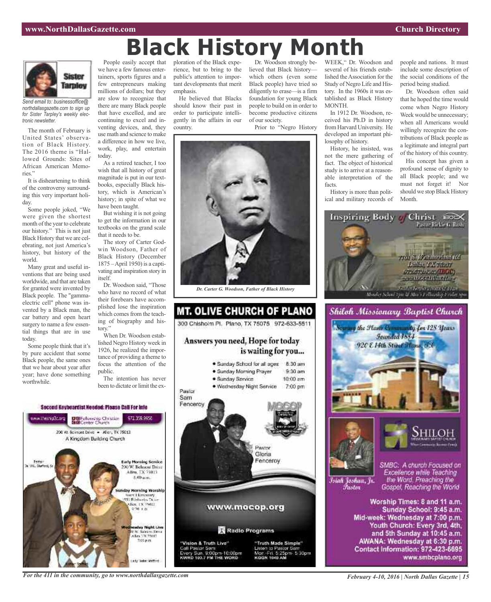# **Black History Month**



*Send email to: businessoffice@ northdallasgazette.com to sign up for Sister Tarpley's weekly electronic newsletter.*

The month of February is United States' observation of Black History. The 2016 theme is "Hallowed Grounds: Sites of African American Memories."

It is disheartening to think of the controversy surrounding this very important holiday.

Some people joked, "We were given the shortest month of the year to celebrate our history." This is not just Black History that we are celebrating, not just America's history, but history of the world.

Many great and useful inventions that are being used worldwide, and that are taken for granted were invented by Black people. The "gammaelectric cell" phone was invented by a Black man, the car battery and open heart surgery to name a few essential things that are in use today.

Some people think that it's by pure accident that some Black people, the same ones that we hear about year after year; have done something worthwhile.

People easily accept that we have a few famous entertainers, sports figures and a few entrepreneurs making millions of dollars; but they are slow to recognize that there are many Black people that have excelled, and are continuing to excel and inventing devices, and, they use math and science to make a difference in how we live, work, play, and entertain today.

As a retired teacher, I too wish that all history of great magnitude is put in our textbooks, especially Black history, which is American's history; in spite of what we have been taught.

But wishing it is not going to get the information in our textbooks on the grand scale that it needs to be.

The story of Carter Godwin Woodson, Father of Black History (December 1875 –April 1950) is a captivating and inspiration story in itself.

Dr. Woodson said, "Those who have no record of what their forebears have accomplished lose the inspiration which comes from the teaching of biography and history."

When Dr. Woodson established Negro History week in 1926, he realized the importance of providing a theme to focus the attention of the public.

The intention has never been to dictate or limit the exploration of the Black experience, but to bring to the public's attention to important developments that merit emphasis.

He believed that Blacks should know their past in order to participate intelligently in the affairs in our country.

Dr. Woodson strongly believed that Black history which others (even some Black people) have tried so diligently to erase—is a firm foundation for young Black people to build on in order to become productive citizens of our society.

Prior to "Negro History



*Dr. Carter G. Woodson, Father of Black History*

### **MT. OLIVE CHURCH OF PLANO** 300 Chisholm Pl. Plano, TX 75075 972-633-5511 Answers you need, Hope for today is waiting for you... · Sunday School for all ages 8:30 am · Sunday Morning Prayer  $9.30$  am · Sunday Service  $10:00$  am · Wednesday Night Service 7:00 pm Pastor Sam Fenceroy **RATIVE** Gloria Fenceroy www.mocop.org Radio Programs "Vision & Truth Live" "Truth Made Simple" Jisten to Pastor San Call Pastor Sam ry Sun. 9:00pm-10:00pm<br>RD 193.7 FM THE WORD Mor. Fri. 5:25pm. 5:30pm<br>коон 1040 AM

WEEK," Dr. Woodson and several of his friends established the Association for the Study of Negro Life and History. In the 1960s it was established as Black History MONTH.

In 1912 Dr. Woodson, received his Ph.D in history from Harvard University. He developed an important philosophy of history.

History, he insisted, was not the mere gathering of fact. The object of historical study is to arrive at a reasonable interpretation of the facts.

History is more than political and military records of people and nations. It must include some description of the social conditions of the period being studied.

Dr. Woodson often said that he hoped the time would come when Negro History Week would be unnecessary; when all Americans would willingly recognize the contributions of Black people as a legitimate and integral part of the history of this country.

His concept has given a profound sense of dignity to all Black people; and we must not forget it! Nor should we stop Black History Month.







*Tustov* 



SMBC: A church Focused on Īsiah Joshua, Jr.

Excellence while Teaching the Word. Preaching the Gospel, Reaching the World

Worship Times: 8 and 11 a.m. Sunday School: 9:45 a.m. Mid-week: Wednesday at 7:00 p.m. Youth Church: Every 3rd, 4th, and 5th Sunday at 10:45 a.m. AWANA: Wednesday at 6:30 p.m. Contact Information: 972-423-6695 www.smbcplano.org

### Second Keybeardist Needed: Please Call For Into



*For the 411 in the community, go to www.northdallasgazette.com*

*February 4-10, 2016 | North Dallas Gazette | 15*